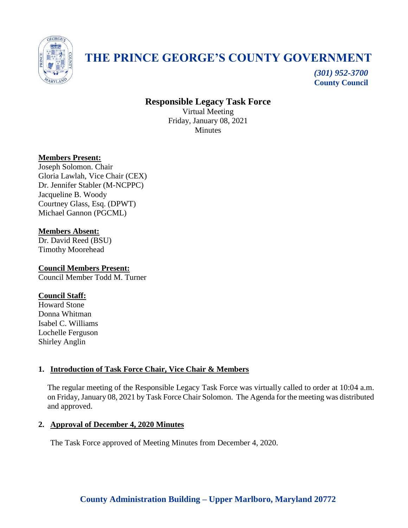

# **THE PRINCE GEORGE'S COUNTY GOVERNMENT**

*(301) 952-3700* **County Council**

# **Responsible Legacy Task Force**

Virtual Meeting Friday, January 08, 2021 **Minutes** 

# **Members Present:**

Joseph Solomon. Chair Gloria Lawlah, Vice Chair (CEX) Dr. Jennifer Stabler (M-NCPPC) Jacqueline B. Woody Courtney Glass, Esq. (DPWT) Michael Gannon (PGCML)

# **Members Absent:**

Dr. David Reed (BSU) Timothy Moorehead

#### **Council Members Present:** Council Member Todd M. Turner

# **Council Staff:**

Howard Stone Donna Whitman Isabel C. Williams Lochelle Ferguson Shirley Anglin

# **1. Introduction of Task Force Chair, Vice Chair & Members**

The regular meeting of the Responsible Legacy Task Force was virtually called to order at 10:04 a.m. on Friday, January 08, 2021 by Task Force Chair Solomon. The Agenda for the meeting was distributed and approved.

# **2. Approval of December 4, 2020 Minutes**

The Task Force approved of Meeting Minutes from December 4, 2020.